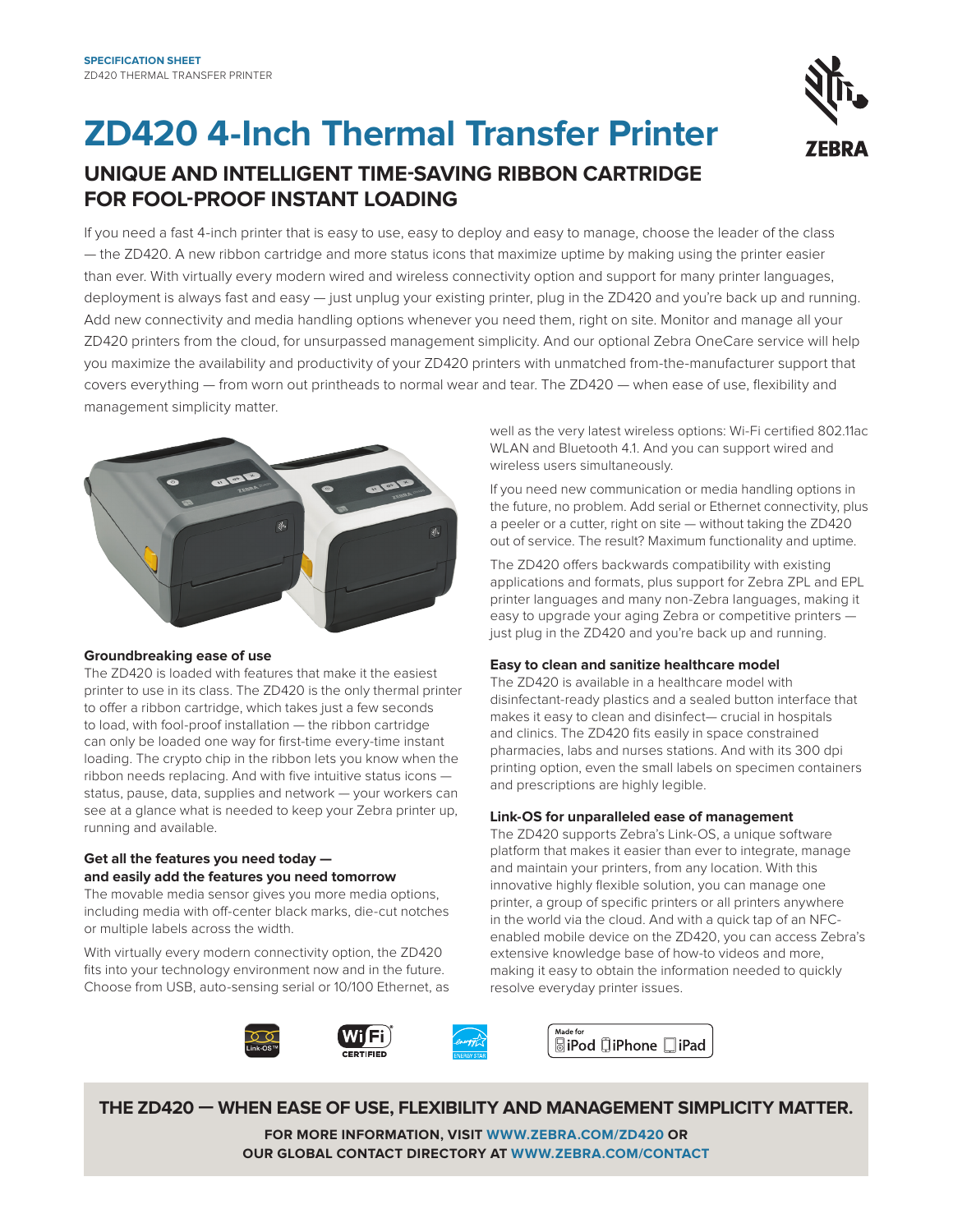

## **ZD420 4-Inch Thermal Transfer Printer UNIQUE AND INTELLIGENT TIME-SAVING RIBBON CARTRIDGE FOR FOOL-PROOF INSTANT LOADING**

If you need a fast 4-inch printer that is easy to use, easy to deploy and easy to manage, choose the leader of the class — the ZD420. A new ribbon cartridge and more status icons that maximize uptime by making using the printer easier than ever. With virtually every modern wired and wireless connectivity option and support for many printer languages, deployment is always fast and easy - just unplug your existing printer, plug in the ZD420 and you're back up and running. Add new connectivity and media handling options whenever you need them, right on site. Monitor and manage all your ZD420 printers from the cloud, for unsurpassed management simplicity. And our optional Zebra OneCare service will help you maximize the availability and productivity of your ZD420 printers with unmatched from-the-manufacturer support that covers everything — from worn out printheads to normal wear and tear. The ZD420 — when ease of use, flexibility and management simplicity matter.



#### **Groundbreaking ease of use**

The ZD420 is loaded with features that make it the easiest printer to use in its class. The ZD420 is the only thermal printer to offer a ribbon cartridge, which takes just a few seconds to load, with fool-proof installation — the ribbon cartridge can only be loaded one way for first-time every-time instant loading. The crypto chip in the ribbon lets you know when the ribbon needs replacing. And with five intuitive status icons status, pause, data, supplies and network — your workers can see at a glance what is needed to keep your Zebra printer up, running and available.

#### **Get all the features you need today and easily add the features you need tomorrow**

The movable media sensor gives you more media options, including media with off-center black marks, die-cut notches or multiple labels across the width.

With virtually every modern connectivity option, the ZD420 fits into your technology environment now and in the future. Choose from USB, auto-sensing serial or 10/100 Ethernet, as well as the very latest wireless options: Wi-Fi certified 802.11ac WLAN and Bluetooth 4.1. And you can support wired and wireless users simultaneously.

If you need new communication or media handling options in the future, no problem. Add serial or Ethernet connectivity, plus a peeler or a cutter, right on site — without taking the ZD420 out of service. The result? Maximum functionality and uptime.

The ZD420 offers backwards compatibility with existing applications and formats, plus support for Zebra ZPL and EPL printer languages and many non-Zebra languages, making it easy to upgrade your aging Zebra or competitive printers just plug in the ZD420 and you're back up and running.

## **Easy to clean and sanitize healthcare model**

The ZD420 is available in a healthcare model with disinfectant-ready plastics and a sealed button interface that makes it easy to clean and disinfect— crucial in hospitals and clinics. The ZD420 fits easily in space constrained pharmacies, labs and nurses stations. And with its 300 dpi printing option, even the small labels on specimen containers and prescriptions are highly legible.

## **Link-OS for unparalleled ease of management**

The ZD420 supports Zebra's Link-OS, a unique software platform that makes it easier than ever to integrate, manage and maintain your printers, from any location. With this innovative highly flexible solution, you can manage one printer, a group of specific printers or all printers anywhere in the world via the cloud. And with a quick tap of an NFCenabled mobile device on the ZD420, you can access Zebra's extensive knowledge base of how-to videos and more, making it easy to obtain the information needed to quickly resolve everyday printer issues.



**THE ZD420 — WHEN EASE OF USE, FLEXIBILITY AND MANAGEMENT SIMPLICITY MATTER.**

**FOR MORE INFORMATION, VISIT WWW.ZEBRA.COM/ZD420 OR OUR GLOBAL CONTACT DIRECTORY AT WWW.ZEBRA.COM/CONTACT**